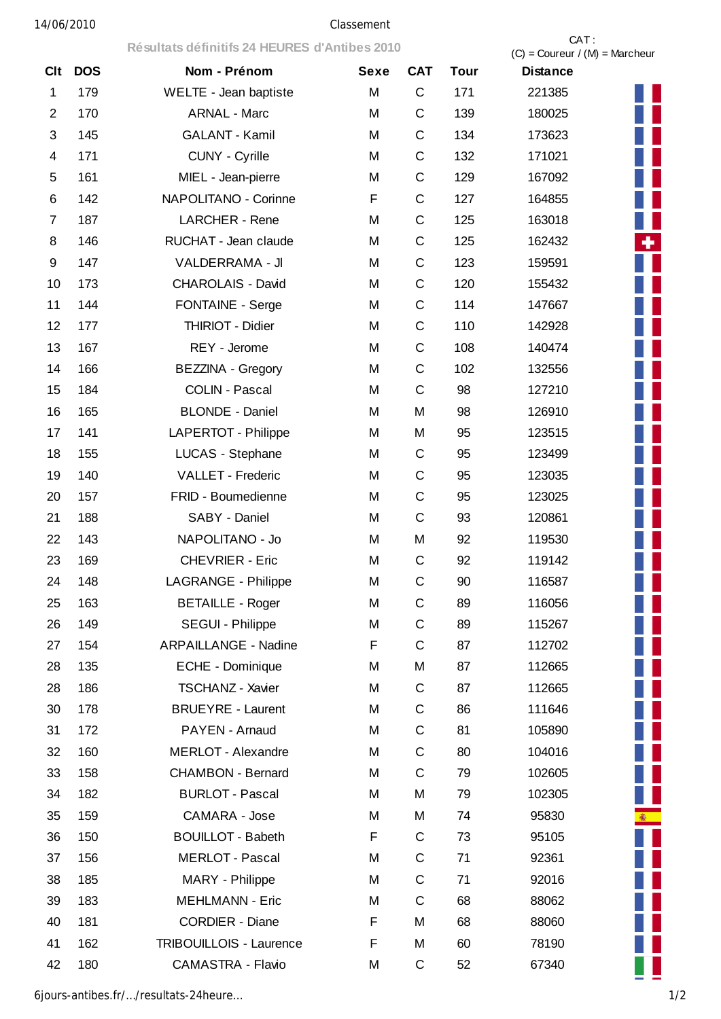|                | Résultats définitifs 24 HEURES d'Antibes 2010 |                             |             |              |             | CAT:<br>$(C) =$ Coureur / $(M) =$ Marcheur |    |
|----------------|-----------------------------------------------|-----------------------------|-------------|--------------|-------------|--------------------------------------------|----|
| <b>Clt</b>     | <b>DOS</b>                                    | Nom - Prénom                | <b>Sexe</b> | <b>CAT</b>   | <b>Tour</b> | <b>Distance</b>                            |    |
| 1              | 179                                           | WELTE - Jean baptiste       | M           | $\mathsf{C}$ | 171         | 221385                                     |    |
| $\overline{2}$ | 170                                           | <b>ARNAL - Marc</b>         | M           | C            | 139         | 180025                                     |    |
| 3              | 145                                           | <b>GALANT - Kamil</b>       | M           | C            | 134         | 173623                                     |    |
| 4              | 171                                           | CUNY - Cyrille              | M           | C            | 132         | 171021                                     |    |
| 5              | 161                                           | MIEL - Jean-pierre          | M           | $\mathsf{C}$ | 129         | 167092                                     |    |
| 6              | 142                                           | NAPOLITANO - Corinne        | F           | C            | 127         | 164855                                     |    |
| 7              | 187                                           | <b>LARCHER - Rene</b>       | M           | C            | 125         | 163018                                     | Н  |
| 8              | 146                                           | RUCHAT - Jean claude        | M           | $\mathsf{C}$ | 125         | 162432                                     | ٠  |
| 9              | 147                                           | <b>VALDERRAMA - JI</b>      | M           | C            | 123         | 159591                                     |    |
| 10             | 173                                           | <b>CHAROLAIS - David</b>    | M           | C            | 120         | 155432                                     |    |
| 11             | 144                                           | <b>FONTAINE - Serge</b>     | M           | $\mathsf C$  | 114         | 147667                                     |    |
| 12             | 177                                           | THIRIOT - Didier            | M           | C            | 110         | 142928                                     |    |
| 13             | 167                                           | REY - Jerome                | M           | C            | 108         | 140474                                     |    |
| 14             | 166                                           | <b>BEZZINA - Gregory</b>    | M           | C            | 102         | 132556                                     |    |
| 15             | 184                                           | <b>COLIN - Pascal</b>       | M           | $\mathsf C$  | 98          | 127210                                     |    |
| 16             | 165                                           | <b>BLONDE - Daniel</b>      | M           | M            | 98          | 126910                                     |    |
| 17             | 141                                           | LAPERTOT - Philippe         | M           | M            | 95          | 123515                                     |    |
| 18             | 155                                           | LUCAS - Stephane            | M           | C            | 95          | 123499                                     |    |
| 19             | 140                                           | <b>VALLET - Frederic</b>    | M           | $\mathsf{C}$ | 95          | 123035                                     |    |
| 20             | 157                                           | FRID - Boumedienne          | M           | C            | 95          | 123025                                     |    |
| 21             | 188                                           | SABY - Daniel               | M           | $\mathsf C$  | 93          | 120861                                     |    |
| 22             | 143                                           | NAPOLITANO - Jo             | M           | M            | 92          | 119530                                     |    |
| 23             | 169                                           | <b>CHEVRIER - Eric</b>      | M           | $\mathsf C$  | 92          | 119142                                     |    |
| 24             | 148                                           | <b>LAGRANGE - Philippe</b>  | М           | $\mathsf C$  | 90          | 116587                                     |    |
| 25             | 163                                           | <b>BETAILLE - Roger</b>     | M           | $\mathsf C$  | 89          | 116056                                     |    |
| 26             | 149                                           | <b>SEGUI - Philippe</b>     | M           | $\mathsf C$  | 89          | 115267                                     |    |
| 27             | 154                                           | <b>ARPAILLANGE - Nadine</b> | F           | $\mathsf C$  | 87          | 112702                                     |    |
| 28             | 135                                           | ECHE - Dominique            | M           | M            | 87          | 112665                                     |    |
| 28             | 186                                           | TSCHANZ - Xavier            | M           | $\mathsf C$  | 87          | 112665                                     |    |
| 30             | 178                                           | <b>BRUEYRE - Laurent</b>    | M           | C            | 86          | 111646                                     |    |
| 31             | 172                                           | PAYEN - Arnaud              | M           | C            | 81          | 105890                                     |    |
| 32             | 160                                           | <b>MERLOT - Alexandre</b>   | M           | C            | 80          | 104016                                     |    |
| 33             | 158                                           | <b>CHAMBON - Bernard</b>    | M           | $\mathsf C$  | 79          | 102605                                     |    |
| 34             | 182                                           | <b>BURLOT - Pascal</b>      | M           | M            | 79          | 102305                                     | Ц  |
| 35             | 159                                           | CAMARA - Jose               | M           | M            | 74          | 95830                                      | 8. |
| 36             | 150                                           | <b>BOUILLOT - Babeth</b>    | F           | C            | 73          | 95105                                      |    |
| 37             | 156                                           | <b>MERLOT - Pascal</b>      | M           | C            | 71          | 92361                                      |    |
| 38             | 185                                           | MARY - Philippe             | M           | C            | 71          | 92016                                      |    |
| 39             | 183                                           | <b>MEHLMANN - Eric</b>      | M           | $\mathsf{C}$ | 68          | 88062                                      |    |
| 40             | 181                                           | <b>CORDIER - Diane</b>      | F           | M            | 68          | 88060                                      |    |
| 41             | 162                                           | TRIBOUILLOIS - Laurence     | F           | M            | 60          | 78190                                      |    |
| 42             | 180                                           | CAMASTRA - Flavio           | М           | C            | 52          | 67340                                      |    |

6jours-antibes.fr/…/resultats-24heure… 1/2

L

案

ш П

÷.